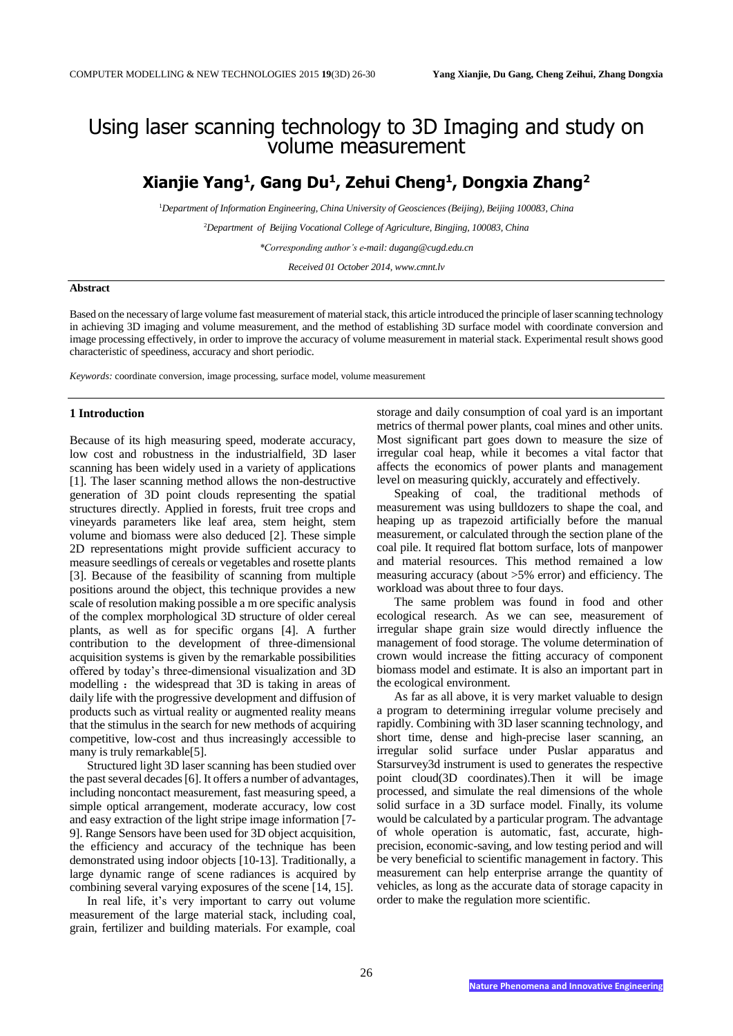# Using laser scanning technology to 3D Imaging and study on volume measurement

# **Xianjie Yang<sup>1</sup> , Gang Du<sup>1</sup> , Zehui Cheng<sup>1</sup> , Dongxia Zhang<sup>2</sup>**

<sup>1</sup>*Department of Information Engineering, China University of Geosciences (Beijing), Beijing 100083, China*

<sup>2</sup>*Department of Beijing Vocational College of Agriculture, Bingjing, 100083, China*

*\*Corresponding author's e-mail: dugang@cugd.edu.cn*

*Received 01 October 2014, www.cmnt.lv*

### **Abstract**

Based on the necessary of large volume fast measurement of material stack, this article introduced the principle of laser scanning technology in achieving 3D imaging and volume measurement, and the method of establishing 3D surface model with coordinate conversion and image processing effectively, in order to improve the accuracy of volume measurement in material stack. Experimental result shows good characteristic of speediness, accuracy and short periodic.

*Keywords:* coordinate conversion, image processing, surface model, volume measurement

### **1 Introduction**

Because of its high measuring speed, moderate accuracy, low cost and robustness in the industrialfield, 3D laser scanning has been widely used in a variety of applications [1]. The laser scanning method allows the non-destructive generation of 3D point clouds representing the spatial structures directly. Applied in forests, fruit tree crops and vineyards parameters like leaf area, stem height, stem volume and biomass were also deduced [2]. These simple 2D representations might provide sufficient accuracy to measure seedlings of cereals or vegetables and rosette plants [3]. Because of the feasibility of scanning from multiple positions around the object, this technique provides a new scale of resolution making possible a m ore specific analysis of the complex morphological 3D structure of older cereal plants, as well as for specific organs [4]. A further contribution to the development of three-dimensional acquisition systems is given by the remarkable possibilities offered by today's three-dimensional visualization and 3D modelling : the widespread that 3D is taking in areas of daily life with the progressive development and diffusion of products such as virtual reality or augmented reality means that the stimulus in the search for new methods of acquiring competitive, low-cost and thus increasingly accessible to many is truly remarkable<sup>[5]</sup>.

Structured light 3D laser scanning has been studied over the past several decades [6]. It offers a number of advantages, including noncontact measurement, fast measuring speed, a simple optical arrangement, moderate accuracy, low cost and easy extraction of the light stripe image information [7- 9]. Range Sensors have been used for 3D object acquisition, the efficiency and accuracy of the technique has been demonstrated using indoor objects [10-13]. Traditionally, a large dynamic range of scene radiances is acquired by combining several varying exposures of the scene [14, 15].

In real life, it's very important to carry out volume measurement of the large material stack, including coal, grain, fertilizer and building materials. For example, coal storage and daily consumption of coal yard is an important metrics of thermal power plants, coal mines and other units. Most significant part goes down to measure the size of irregular coal heap, while it becomes a vital factor that affects the economics of power plants and management level on measuring quickly, accurately and effectively.

Speaking of coal, the traditional methods of measurement was using bulldozers to shape the coal, and heaping up as trapezoid artificially before the manual measurement, or calculated through the section plane of the coal pile. It required flat bottom surface, lots of manpower and material resources. This method remained a low measuring accuracy (about >5% error) and efficiency. The workload was about three to four days.

The same problem was found in food and other ecological research. As we can see, measurement of irregular shape grain size would directly influence the management of food storage. The volume determination of crown would increase the fitting accuracy of component biomass model and estimate. It is also an important part in the ecological environment.

As far as all above, it is very market valuable to design a program to determining irregular volume precisely and rapidly. Combining with 3D laser scanning technology, and short time, dense and high-precise laser scanning, an irregular solid surface under Puslar apparatus and Starsurvey3d instrument is used to generates the respective point cloud(3D coordinates).Then it will be image processed, and simulate the real dimensions of the whole solid surface in a 3D surface model. Finally, its volume would be calculated by a particular program. The advantage of whole operation is automatic, fast, accurate, highprecision, economic-saving, and low testing period and will be very beneficial to scientific management in factory. This measurement can help enterprise arrange the quantity of vehicles, as long as the accurate data of storage capacity in order to make the regulation more scientific.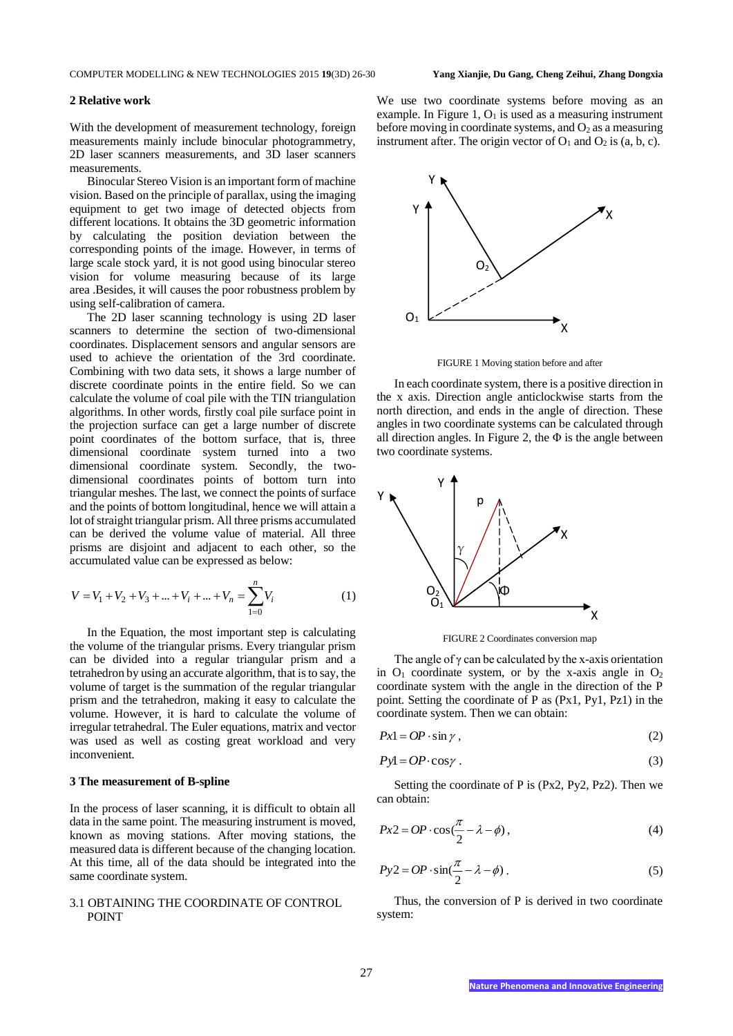### **2 Relative work**

With the development of measurement technology, foreign measurements mainly include binocular photogrammetry, 2D laser scanners measurements, and 3D laser scanners measurements.

Binocular Stereo Vision is an important form of machine vision. Based on the principle of parallax, using the imaging equipment to get two image of detected objects from different locations. It obtains the 3D geometric information by calculating the position deviation between the corresponding points of the image. However, in terms of large scale stock yard, it is not good using binocular stereo vision for volume measuring because of its large area .Besides, it will causes the poor robustness problem by using self-calibration of camera.

The 2D laser scanning technology is using 2D laser scanners to determine the section of two-dimensional coordinates. Displacement sensors and angular sensors are used to achieve the orientation of the 3rd coordinate. Combining with two data sets, it shows a large number of discrete coordinate points in the entire field. So we can calculate the volume of coal pile with the TIN triangulation algorithms. In other words, firstly coal pile surface point in the projection surface can get a large number of discrete point coordinates of the bottom surface, that is, three dimensional coordinate system turned into a two dimensional coordinate system. Secondly, the twodimensional coordinates points of bottom turn into triangular meshes. The last, we connect the points of surface and the points of bottom longitudinal, hence we will attain a lot of straight triangular prism. All three prisms accumulated can be derived the volume value of material. All three prisms are disjoint and adjacent to each other, so the accumulated value can be expressed as below:

$$
V = V_1 + V_2 + V_3 + \dots + V_i + \dots + V_n = \sum_{1=0}^{n} V_i
$$
 (1)

In the Equation, the most important step is calculating the volume of the triangular prisms. Every triangular prism can be divided into a regular triangular prism and a tetrahedron by using an accurate algorithm, that is to say, the volume of target is the summation of the regular triangular prism and the tetrahedron, making it easy to calculate the volume. However, it is hard to calculate the volume of irregular tetrahedral. The Euler equations, matrix and vector was used as well as costing great workload and very inconvenient.

### **3 The measurement of B-spline**

In the process of laser scanning, it is difficult to obtain all data in the same point. The measuring instrument is moved, known as moving stations. After moving stations, the measured data is different because of the changing location. At this time, all of the data should be integrated into the same coordinate system.

### 3.1 OBTAINING THE COORDINATE OF CONTROL **POINT**

We use two coordinate systems before moving as an example. In Figure 1,  $O<sub>1</sub>$  is used as a measuring instrument before moving in coordinate systems, and  $O_2$  as a measuring instrument after. The origin vector of  $O_1$  and  $O_2$  is (a, b, c).



FIGURE 1 Moving station before and after

In each coordinate system, there is a positive direction in the x axis. Direction angle anticlockwise starts from the north direction, and ends in the angle of direction. These angles in two coordinate systems can be calculated through all direction angles. In Figure 2, the  $\Phi$  is the angle between two coordinate systems.



FIGURE 2 Coordinates conversion map

The angle of  $\gamma$  can be calculated by the x-axis orientation in  $O_1$  coordinate system, or by the x-axis angle in  $O_2$ coordinate system with the angle in the direction of the P point. Setting the coordinate of P as (Px1, Py1, Pz1) in the coordinate system. Then we can obtain:

$$
Px1 = OP \cdot \sin \gamma \,,\tag{2}
$$

$$
Py1 = OP \cdot \cos\gamma \tag{3}
$$

Setting the coordinate of P is (Px2, Py2, Pz2). Then we can obtain:

$$
Px2 = OP \cdot \cos(\frac{\pi}{2} - \lambda - \phi),\tag{4}
$$

$$
Py2 = OP \cdot \sin(\frac{\pi}{2} - \lambda - \phi) \,. \tag{5}
$$

Thus, the conversion of P is derived in two coordinate system: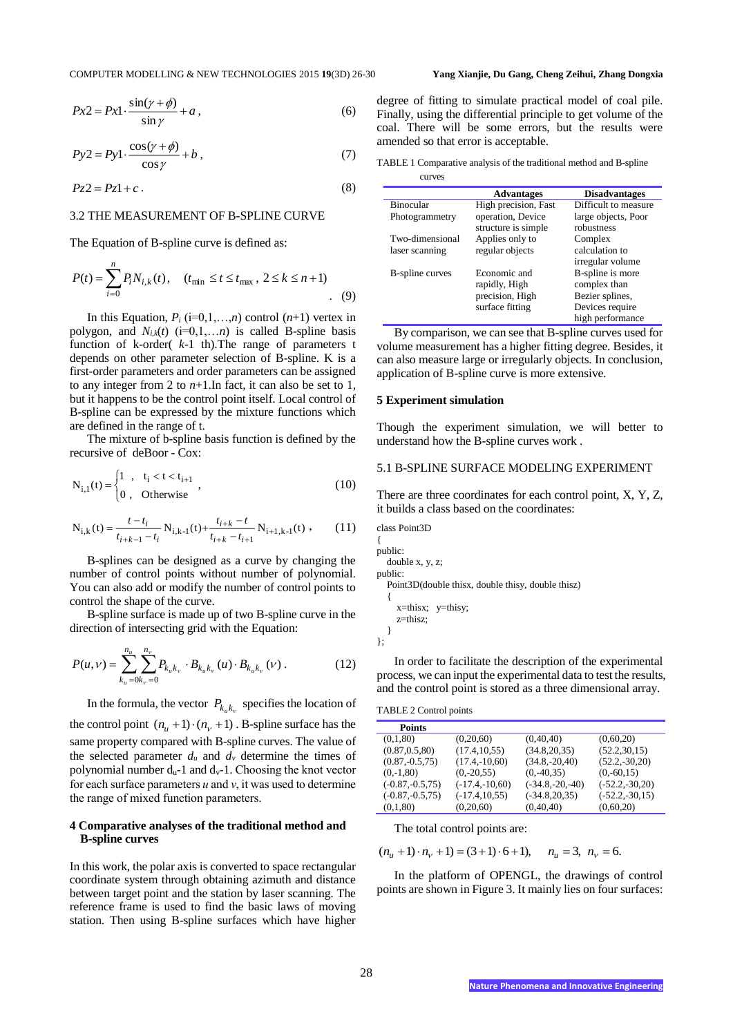### $= Px1 \cdot \frac{\sin(\gamma +$ γ  $(\gamma + \phi)$ sin  $2 = Px1 \cdot \frac{\sin(\gamma + \phi)}{1} + a,$  (6)

$$
Py2 = Py1 \cdot \frac{\cos(\gamma + \phi)}{\cos \gamma} + b \,,\tag{7}
$$

$$
Pz2 = Pz1 + c \tag{8}
$$

### 3.2 THE MEASUREMENT OF B-SPLINE CURVE

$$
P(t) = \sum_{i=0}^{n} P_i N_{i,k}(t), \quad (t_{\min} \le t \le t_{\max}, \ 2 \le k \le n+1)
$$
\n(9)

$$
N_{i,1}(t) = \begin{cases} 1, & t_i < t < t_{i+1} \\ 0, & \text{Otherwise} \end{cases}
$$
 (10)

$$
N_{i,k}(t) = \frac{t - t_i}{t_{i+k-1} - t_i} N_{i,k-1}(t) + \frac{t_{i+k} - t}{t_{i+k} - t_{i+1}} N_{i+1,k-1}(t) ,
$$
 (11)

$$
P(u,v) = \sum_{k_u=0}^{n_u} \sum_{k_v=0}^{n_v} P_{k_u k_v} \cdot B_{k_u k_v}(u) \cdot B_{k_u k_v}(v) \,. \tag{12}
$$

### **4 Comparative analyses of the traditional method and B-spline curves**

degree of fitting to simulate practical model of coal pile. Finally, using the differential principle to get volume of the coal. There will be some errors, but the results were amended so that error is acceptable.

| $Px2 = Px1 \cdot \frac{\sin(y + \varphi)}{\sin y} + a$ ,<br>(6)                                                                                                                                                                                                                                                                                                                                                                                                                                                                                                            | Finally, using the differential principle to get volume of the<br>coal. There will be some errors, but the results were<br>amended so that error is acceptable.                                                                                                                                                                                                                                                                                                                                 |  |  |
|----------------------------------------------------------------------------------------------------------------------------------------------------------------------------------------------------------------------------------------------------------------------------------------------------------------------------------------------------------------------------------------------------------------------------------------------------------------------------------------------------------------------------------------------------------------------------|-------------------------------------------------------------------------------------------------------------------------------------------------------------------------------------------------------------------------------------------------------------------------------------------------------------------------------------------------------------------------------------------------------------------------------------------------------------------------------------------------|--|--|
| $Py2 = Py1 \cdot \frac{\cos(y + \phi)}{\cos y} + b$ ,<br>(7)                                                                                                                                                                                                                                                                                                                                                                                                                                                                                                               | TABLE 1 Comparative analysis of the traditional method and B-spline                                                                                                                                                                                                                                                                                                                                                                                                                             |  |  |
| $Pz^2 = Pz^2 + c$ .<br>(8)                                                                                                                                                                                                                                                                                                                                                                                                                                                                                                                                                 | curves                                                                                                                                                                                                                                                                                                                                                                                                                                                                                          |  |  |
| 3.2 THE MEASUREMENT OF B-SPLINE CURVE                                                                                                                                                                                                                                                                                                                                                                                                                                                                                                                                      | <b>Advantages</b><br><b>Disadvantages</b><br>Binocular<br>High precision, Fast<br>Difficult to measure<br>Photogrammetry<br>operation, Device<br>large objects, Poor<br>structure is simple<br>robustness                                                                                                                                                                                                                                                                                       |  |  |
| The Equation of B-spline curve is defined as:                                                                                                                                                                                                                                                                                                                                                                                                                                                                                                                              | Two-dimensional<br>Applies only to<br>Complex<br>laser scanning<br>regular objects<br>calculation to<br>irregular volume                                                                                                                                                                                                                                                                                                                                                                        |  |  |
| $P(t) = \sum_{i=0}^{n} P_i N_{i,k}(t)$ , $(t_{\min} \le t \le t_{\max}, 2 \le k \le n+1)$<br>(9)                                                                                                                                                                                                                                                                                                                                                                                                                                                                           | B-spline curves<br>Economic and<br>B-spline is more<br>rapidly, High<br>complex than<br>precision, High<br>Bezier splines,<br>surface fitting<br>Devices require                                                                                                                                                                                                                                                                                                                                |  |  |
| In this Equation, $P_i$ (i=0,1,, <i>n</i> ) control ( <i>n</i> +1) vertex in<br>polygon, and $N_{i,k}(t)$ (i=0,1,n) is called B-spline basis<br>iunction of k-order( $k-1$ th). The range of parameters t<br>depends on other parameter selection of B-spline. K is a<br>irst-order parameters and order parameters can be assigned<br>to any integer from 2 to $n+1$ . In fact, it can also be set to 1,<br>but it happens to be the control point itself. Local control of<br>B-spline can be expressed by the mixture functions which<br>are defined in the range of t. | high performance<br>By comparison, we can see that B-spline curves used for<br>volume measurement has a higher fitting degree. Besides, it<br>can also measure large or irregularly objects. In conclusion,<br>application of B-spline curve is more extensive.<br><b>5 Experiment simulation</b><br>Though the experiment simulation, we will better to                                                                                                                                        |  |  |
| The mixture of b-spline basis function is defined by the<br>ecursive of deBoor - Cox:                                                                                                                                                                                                                                                                                                                                                                                                                                                                                      | understand how the B-spline curves work.                                                                                                                                                                                                                                                                                                                                                                                                                                                        |  |  |
| $N_{i,1}(t) = \begin{cases} 1, & t_i < t < t_{i+1} \\ 0, & \text{Otherwise} \end{cases}$ ,<br>(10)                                                                                                                                                                                                                                                                                                                                                                                                                                                                         | 5.1 B-SPLINE SURFACE MODELING EXPERIMENT                                                                                                                                                                                                                                                                                                                                                                                                                                                        |  |  |
|                                                                                                                                                                                                                                                                                                                                                                                                                                                                                                                                                                            | There are three coordinates for each control point, X, Y, Z,<br>it builds a class based on the coordinates:                                                                                                                                                                                                                                                                                                                                                                                     |  |  |
| $N_{i,k}(t) = \frac{t - t_i}{t_{i+k-1} - t_i} N_{i,k-1}(t) + \frac{t_{i+k} - t}{t_{i+k} - t_{i+1}} N_{i+1,k-1}(t)$<br>(11)                                                                                                                                                                                                                                                                                                                                                                                                                                                 | class Point3D                                                                                                                                                                                                                                                                                                                                                                                                                                                                                   |  |  |
| B-splines can be designed as a curve by changing the<br>number of control points without number of polynomial.<br>You can also add or modify the number of control points to<br>control the shape of the curve.<br>B-spline surface is made up of two B-spline curve in the<br>lirection of intersecting grid with the Equation:                                                                                                                                                                                                                                           | public:<br>double $x, y, z;$<br>public:<br>Point3D(double thisx, double thisy, double thisz)<br>$x = thisx$ ; $y = thisy$ ;<br>z=thisz;                                                                                                                                                                                                                                                                                                                                                         |  |  |
|                                                                                                                                                                                                                                                                                                                                                                                                                                                                                                                                                                            | $\}$ ;                                                                                                                                                                                                                                                                                                                                                                                                                                                                                          |  |  |
| $P(u,v) = \sum_{n}^{n_u} \sum_{n}^{n_v} P_{k_u k_v} \cdot B_{k_u k_v}(u) \cdot B_{k_u k_v}(v)$ .<br>(12)                                                                                                                                                                                                                                                                                                                                                                                                                                                                   | In order to facilitate the description of the experimental<br>process, we can input the experimental data to test the results<br>and the control point is stored as a three dimensional array.                                                                                                                                                                                                                                                                                                  |  |  |
| In the formula, the vector $P_{k_{u}k_{v}}$ specifies the location of                                                                                                                                                                                                                                                                                                                                                                                                                                                                                                      | <b>TABLE 2 Control points</b>                                                                                                                                                                                                                                                                                                                                                                                                                                                                   |  |  |
| he control point $(n_u + 1) \cdot (n_v + 1)$ . B-spline surface has the                                                                                                                                                                                                                                                                                                                                                                                                                                                                                                    | <b>Points</b>                                                                                                                                                                                                                                                                                                                                                                                                                                                                                   |  |  |
| same property compared with B-spline curves. The value of<br>the selected parameter $d_u$ and $d_v$ determine the times of<br>polynomial number $d_u$ -1 and $d_v$ -1. Choosing the knot vector<br>For each surface parameters $u$ and $v$ , it was used to determine<br>he range of mixed function parameters.                                                                                                                                                                                                                                                            | (0,1,80)<br>(0,60,20)<br>(0,20,60)<br>(0, 40, 40)<br>(0.87, 0.5, 80)<br>(17.4, 10.55)<br>(34.8, 20, 35)<br>(52.2, 30, 15)<br>$(0.87, -0.5, 75)$<br>$(17.4,-10,60)$<br>$(34.8,-20,40)$<br>$(52.2,-30,20)$<br>$(0,-1,80)$<br>$(0,-20,55)$<br>$(0,-40,35)$<br>$(0,-60,15)$<br>$(-0.87,-0.5,75)$<br>$(-17.4,-10,60)$<br>$(-34.8,-20,-40)$<br>$(-52.2,-30,20)$<br>$(-0.87,-0.5,75)$<br>$(-17.4, 10, 55)$<br>$(-34.8, 20, 35)$<br>$(-52.2,-30,15)$<br>(0,1,80)<br>(0,20,60)<br>(0,40,40)<br>(0,60,20) |  |  |
| 4 Comparative analyses of the traditional method and<br><b>B</b> -spline curves                                                                                                                                                                                                                                                                                                                                                                                                                                                                                            | The total control points are:                                                                                                                                                                                                                                                                                                                                                                                                                                                                   |  |  |
|                                                                                                                                                                                                                                                                                                                                                                                                                                                                                                                                                                            | $(n_u + 1) \cdot n_v + 1 = (3 + 1) \cdot 6 + 1$ , $n_u = 3$ , $n_v = 6$ .                                                                                                                                                                                                                                                                                                                                                                                                                       |  |  |
| In this work, the polar axis is converted to space rectangular<br>coordinate system through obtaining azimuth and distance<br>between target point and the station by laser scanning. The<br>reference frame is used to find the basic laws of moving<br>station. Then using B-spline surfaces which have higher                                                                                                                                                                                                                                                           | In the platform of OPENGL, the drawings of control<br>points are shown in Figure 3. It mainly lies on four surfaces:                                                                                                                                                                                                                                                                                                                                                                            |  |  |
|                                                                                                                                                                                                                                                                                                                                                                                                                                                                                                                                                                            |                                                                                                                                                                                                                                                                                                                                                                                                                                                                                                 |  |  |
|                                                                                                                                                                                                                                                                                                                                                                                                                                                                                                                                                                            | 28                                                                                                                                                                                                                                                                                                                                                                                                                                                                                              |  |  |
|                                                                                                                                                                                                                                                                                                                                                                                                                                                                                                                                                                            | <b>Nature Phenomena and Innovative Engineering</b>                                                                                                                                                                                                                                                                                                                                                                                                                                              |  |  |

### **5 Experiment simulation**

### 5.1 B-SPLINE SURFACE MODELING EXPERIMENT

TABLE 2 Control points

| <b>Points</b>      |                  |                   |                  |
|--------------------|------------------|-------------------|------------------|
| (0,1,80)           | (0,20,60)        | (0,40,40)         | (0,60,20)        |
| (0.87, 0.5, 80)    | (17.4, 10.55)    | (34.8, 20.35)     | (52.2, 30.15)    |
| $(0.87, -0.5, 75)$ | $(17.4,-10.60)$  | $(34.8,-20,40)$   | $(52.2,-30,20)$  |
| $(0,-1,80)$        | $(0,-20,55)$     | $(0,-40,35)$      | $(0,-60,15)$     |
| $(-0.87,-0.5,75)$  | $(-17.4,-10.60)$ | $(-34.8,-20,-40)$ | $(-52.2,-30,20)$ |
| $(-0.87,-0.5,75)$  | $(-17.4, 10.55)$ | $(-34.8, 20, 35)$ | $(-52.2,-30,15)$ |
| (0,1,80)           | (0,20,60)        | (0, 40, 40)       | (0,60,20)        |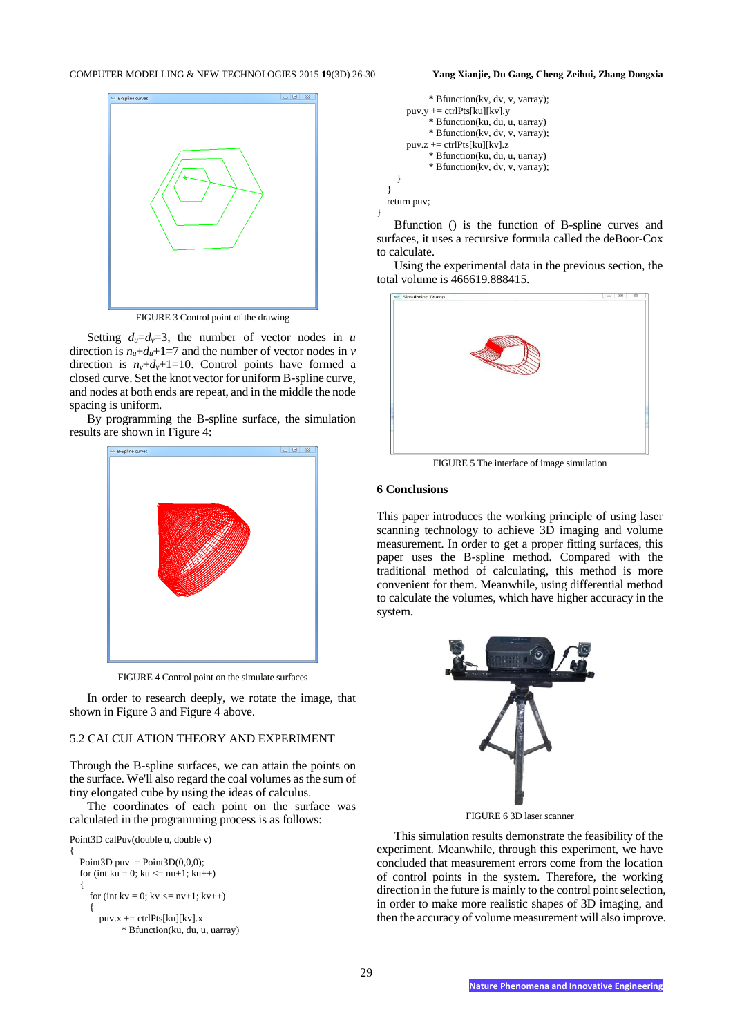### COMPUTER MODELLING & NEW TECHNOLOGIES 2015 **19**(3D) 26-30 **Yang Xianjie, Du Gang, Cheng Zeihui, Zhang Dongxia**

# R. Solina cunias

FIGURE 3 Control point of the drawing

Setting  $d_u = d_v = 3$ , the number of vector nodes in *u* direction is  $n_u+d_u+1=7$  and the number of vector nodes in *v* direction is  $n_v+d_v+1=10$ . Control points have formed a closed curve. Set the knot vector for uniform B-spline curve, and nodes at both ends are repeat, and in the middle the node spacing is uniform.

By programming the B-spline surface, the simulation results are shown in Figure 4:





In order to research deeply, we rotate the image, that shown in Figure 3 and Figure 4 above.

# 5.2 CALCULATION THEORY AND EXPERIMENT

Through the B-spline surfaces, we can attain the points on the surface. We'll also regard the coal volumes as the sum of tiny elongated cube by using the ideas of calculus.

The coordinates of each point on the surface was calculated in the programming process is as follows:

```
Point3D calPuv(double u, double v)
{
  Point3D puv = Point3D(0,0,0);
  for (int ku = 0; ku <= nu+1; ku ++)
    {
     for (int kv = 0; kv <= nv+1; kv ++)
      {
       puv.x += \text{ctrlPts}[ku][kv].x
               * Bfunction(ku, du, u, uarray)
```
# \* Bfunction(kv, dv, v, varray); puv.y += ctrlPts[ku][kv].y

```
 * Bfunction(ku, du, u, uarray)
              * Bfunction(kv, dv, v, varray);
       puv.z += \text{ctrlPts}[kvl.z] * Bfunction(ku, du, u, uarray)
              * Bfunction(kv, dv, v, varray);
 }
   }
   return puv;
```
Bfunction () is the function of B-spline curves and surfaces, it uses a recursive formula called the deBoor-Cox to calculate.

Using the experimental data in the previous section, the total volume is 466619.888415.



FIGURE 5 The interface of image simulation

# **6 Conclusions**

}

This paper introduces the working principle of using laser scanning technology to achieve 3D imaging and volume measurement. In order to get a proper fitting surfaces, this paper uses the B-spline method. Compared with the traditional method of calculating, this method is more convenient for them. Meanwhile, using differential method to calculate the volumes, which have higher accuracy in the system.



FIGURE 6 3D laser scanner

This simulation results demonstrate the feasibility of the experiment. Meanwhile, through this experiment, we have concluded that measurement errors come from the location of control points in the system. Therefore, the working direction in the future is mainly to the control point selection, in order to make more realistic shapes of 3D imaging, and then the accuracy of volume measurement will also improve.